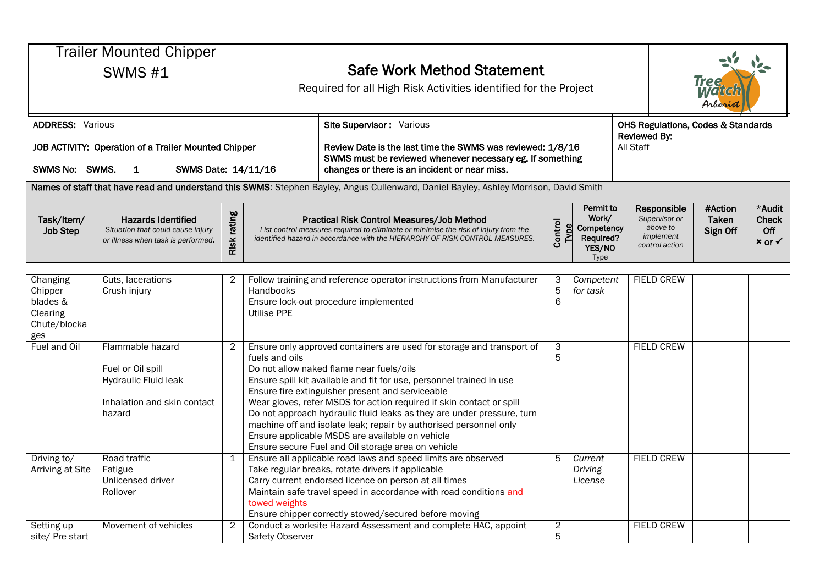| <b>Trailer Mounted Chipper</b><br><b>SWMS #1</b><br><b>ADDRESS: Various</b>                        |                                                                                                        | <b>Safe Work Method Statement</b><br>Required for all High Risk Activities identified for the Project<br>Site Supervisor: Various |                                                                                                                                                                                                                                                                                                                                                                                                                                                                                                                                                                                                 |                                                                                                                                                                                                                                                                                                                                                       |                 |                                                                 | Tree<br>Watch<br>Arborist<br><b>OHS Regulations, Codes &amp; Standards</b> |                                                                         |                              |                                               |
|----------------------------------------------------------------------------------------------------|--------------------------------------------------------------------------------------------------------|-----------------------------------------------------------------------------------------------------------------------------------|-------------------------------------------------------------------------------------------------------------------------------------------------------------------------------------------------------------------------------------------------------------------------------------------------------------------------------------------------------------------------------------------------------------------------------------------------------------------------------------------------------------------------------------------------------------------------------------------------|-------------------------------------------------------------------------------------------------------------------------------------------------------------------------------------------------------------------------------------------------------------------------------------------------------------------------------------------------------|-----------------|-----------------------------------------------------------------|----------------------------------------------------------------------------|-------------------------------------------------------------------------|------------------------------|-----------------------------------------------|
| JOB ACTIVITY: Operation of a Trailer Mounted Chipper<br>SWMS No: SWMS.<br>SWMS Date: 14/11/16<br>1 |                                                                                                        |                                                                                                                                   |                                                                                                                                                                                                                                                                                                                                                                                                                                                                                                                                                                                                 | <b>Reviewed By:</b><br>All Staff<br>Review Date is the last time the SWMS was reviewed: 1/8/16<br>SWMS must be reviewed whenever necessary eg. If something<br>changes or there is an incident or near miss.<br>Names of staff that have read and understand this SWMS: Stephen Bayley, Angus Cullenward, Daniel Bayley, Ashley Morrison, David Smith |                 |                                                                 |                                                                            |                                                                         |                              |                                               |
| Task/Item/<br><b>Job Step</b>                                                                      | <b>Hazards Identified</b><br>Situation that could cause injury<br>or illness when task is performed.   | rating<br>Risk <sub>I</sub>                                                                                                       |                                                                                                                                                                                                                                                                                                                                                                                                                                                                                                                                                                                                 | Practical Risk Control Measures/Job Method<br>List control measures required to eliminate or minimise the risk of injury from the<br>identified hazard in accordance with the HIERARCHY OF RISK CONTROL MEASURES.                                                                                                                                     | Control<br>Type | Permit to<br>Work/<br>Competency<br>Required?<br>YES/NO<br>Type |                                                                            | Responsible<br>Supervisor or<br>above to<br>implement<br>control action | #Action<br>Taken<br>Sign Off | *Audit<br>Check<br>Off<br>$*$ or $\checkmark$ |
| Changing<br>Chipper<br>blades &<br>Clearing<br>Chute/blocka<br>ges                                 | Cuts, lacerations<br>Crush injury                                                                      | $\overline{2}$                                                                                                                    | Handbooks<br>Utilise PPE                                                                                                                                                                                                                                                                                                                                                                                                                                                                                                                                                                        | Follow training and reference operator instructions from Manufacturer<br>Ensure lock-out procedure implemented                                                                                                                                                                                                                                        | 3<br>5<br>6     | Competent<br>for task                                           |                                                                            | <b>FIELD CREW</b>                                                       |                              |                                               |
| Fuel and Oil                                                                                       | Flammable hazard<br>Fuel or Oil spill<br>Hydraulic Fluid leak<br>Inhalation and skin contact<br>hazard | $\overline{2}$                                                                                                                    | Ensure only approved containers are used for storage and transport of<br>fuels and oils<br>Do not allow naked flame near fuels/oils<br>Ensure spill kit available and fit for use, personnel trained in use<br>Ensure fire extinguisher present and serviceable<br>Wear gloves, refer MSDS for action required if skin contact or spill<br>Do not approach hydraulic fluid leaks as they are under pressure, turn<br>machine off and isolate leak; repair by authorised personnel only<br>Ensure applicable MSDS are available on vehicle<br>Ensure secure Fuel and Oil storage area on vehicle |                                                                                                                                                                                                                                                                                                                                                       | 3<br>5          |                                                                 |                                                                            | <b>FIELD CREW</b>                                                       |                              |                                               |
| Driving to/<br>Arriving at Site                                                                    | Road traffic<br>Fatigue<br>Unlicensed driver<br>Rollover                                               | 1                                                                                                                                 | towed weights                                                                                                                                                                                                                                                                                                                                                                                                                                                                                                                                                                                   | Ensure all applicable road laws and speed limits are observed<br>Take regular breaks, rotate drivers if applicable<br>Carry current endorsed licence on person at all times<br>Maintain safe travel speed in accordance with road conditions and<br>Ensure chipper correctly stowed/secured before moving                                             | 5               | Current<br>Driving<br>License                                   |                                                                            | <b>FIELD CREW</b>                                                       |                              |                                               |
| Setting up<br>site/ Pre start                                                                      | Movement of vehicles                                                                                   | $\overline{2}$                                                                                                                    | Conduct a worksite Hazard Assessment and complete HAC, appoint<br>Safety Observer                                                                                                                                                                                                                                                                                                                                                                                                                                                                                                               |                                                                                                                                                                                                                                                                                                                                                       |                 |                                                                 |                                                                            | <b>FIELD CREW</b>                                                       |                              |                                               |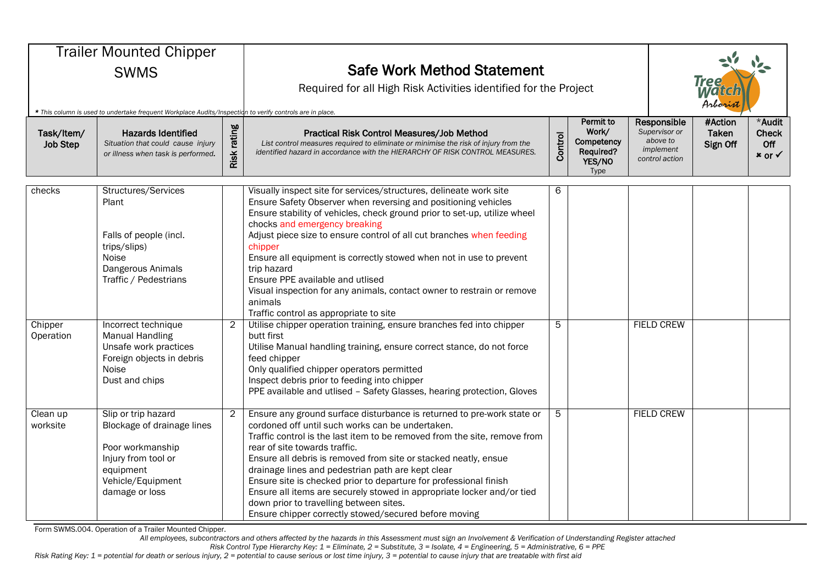| <b>Trailer Mounted Chipper</b><br><b>SWMS</b><br>* This column is used to undertake frequent Workplace Audits/Inspection to verify controls are in place.<br>Risk rating<br>Task/Item/<br><b>Hazards Identified</b><br>Situation that could cause injury<br><b>Job Step</b><br>or illness when task is performed. |                                                                                                                                                  |                | <b>Safe Work Method Statement</b><br>Required for all High Risk Activities identified for the Project<br>Practical Risk Control Measures/Job Method<br>List control measures required to eliminate or minimise the risk of injury from the<br>identified hazard in accordance with the HIERARCHY OF RISK CONTROL MEASURES.                                                                                                                                                                                                                                                                                          | Responsible<br>Supervisor or<br>above to<br>implement<br>control action | <b>Tree</b><br>Watcl<br>Arborist<br>#Action<br>Taken<br>Sign Off | *Audit<br><b>Check</b><br>Off<br>$x$ or $\checkmark$ |  |  |
|-------------------------------------------------------------------------------------------------------------------------------------------------------------------------------------------------------------------------------------------------------------------------------------------------------------------|--------------------------------------------------------------------------------------------------------------------------------------------------|----------------|---------------------------------------------------------------------------------------------------------------------------------------------------------------------------------------------------------------------------------------------------------------------------------------------------------------------------------------------------------------------------------------------------------------------------------------------------------------------------------------------------------------------------------------------------------------------------------------------------------------------|-------------------------------------------------------------------------|------------------------------------------------------------------|------------------------------------------------------|--|--|
| checks                                                                                                                                                                                                                                                                                                            | Structures/Services<br>Plant<br>Falls of people (incl.<br>trips/slips)<br>Noise<br>Dangerous Animals<br>Traffic / Pedestrians                    |                | Visually inspect site for services/structures, delineate work site<br>Ensure Safety Observer when reversing and positioning vehicles<br>Ensure stability of vehicles, check ground prior to set-up, utilize wheel<br>chocks and emergency breaking<br>Adjust piece size to ensure control of all cut branches when feeding<br>chipper<br>Ensure all equipment is correctly stowed when not in use to prevent<br>trip hazard<br>Ensure PPE available and utlised<br>Visual inspection for any animals, contact owner to restrain or remove<br>animals<br>Traffic control as appropriate to site                      | 6                                                                       |                                                                  |                                                      |  |  |
| Chipper<br>Operation                                                                                                                                                                                                                                                                                              | Incorrect technique<br><b>Manual Handling</b><br>Unsafe work practices<br>Foreign objects in debris<br>Noise<br>Dust and chips                   | $\overline{2}$ | Utilise chipper operation training, ensure branches fed into chipper<br>butt first<br>Utilise Manual handling training, ensure correct stance, do not force<br>feed chipper<br>Only qualified chipper operators permitted<br>Inspect debris prior to feeding into chipper<br>PPE available and utlised - Safety Glasses, hearing protection, Gloves                                                                                                                                                                                                                                                                 | 5                                                                       |                                                                  | <b>FIELD CREW</b>                                    |  |  |
| Clean up<br>worksite                                                                                                                                                                                                                                                                                              | Slip or trip hazard<br>Blockage of drainage lines<br>Poor workmanship<br>Injury from tool or<br>equipment<br>Vehicle/Equipment<br>damage or loss | $\overline{2}$ | Ensure any ground surface disturbance is returned to pre-work state or<br>cordoned off until such works can be undertaken.<br>Traffic control is the last item to be removed from the site, remove from<br>rear of site towards traffic.<br>Ensure all debris is removed from site or stacked neatly, ensue<br>drainage lines and pedestrian path are kept clear<br>Ensure site is checked prior to departure for professional finish<br>Ensure all items are securely stowed in appropriate locker and/or tied<br>down prior to travelling between sites.<br>Ensure chipper correctly stowed/secured before moving | 5                                                                       |                                                                  | <b>FIELD CREW</b>                                    |  |  |

Form SWMS.004. Operation of a Trailer Mounted Chipper.

*All employees, subcontractors and others affected by the hazards in this Assessment must sign an Involvement & Verification of Understanding Register attached*

*Risk Control Type Hierarchy Key: 1 = Eliminate, 2 = Substitute, 3 = Isolate, 4 = Engineering, 5 = Administrative, 6 = PPE*

*Risk Rating Key: 1 = potential for death or serious injury, 2 = potential to cause serious or lost time injury, 3 = potential to cause injury that are treatable with first aid*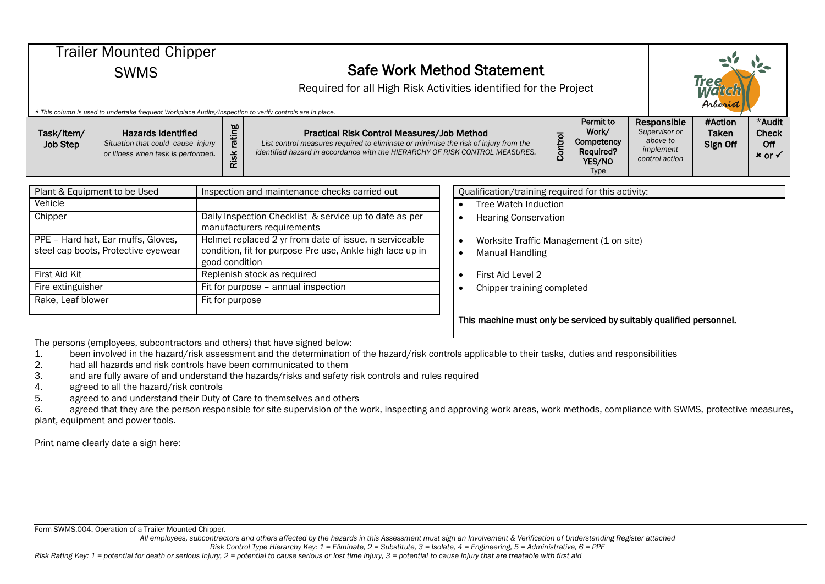| <b>Trailer Mounted Chipper</b><br><b>SWMS</b><br>* This column is used to undertake frequent Workplace Audits/Inspection to verify controls are in place. |                                                                                                      |  |                                                                                                                             | <b>Safe Work Method Statement</b><br>Required for all High Risk Activities identified for the Project                                                                                                             |         |                                                                 |  |                                                                         | <b>Tree</b><br>Arborist      |                                                      |  |
|-----------------------------------------------------------------------------------------------------------------------------------------------------------|------------------------------------------------------------------------------------------------------|--|-----------------------------------------------------------------------------------------------------------------------------|-------------------------------------------------------------------------------------------------------------------------------------------------------------------------------------------------------------------|---------|-----------------------------------------------------------------|--|-------------------------------------------------------------------------|------------------------------|------------------------------------------------------|--|
| Task/Item/<br><b>Job Step</b>                                                                                                                             | <b>Hazards Identified</b><br>Situation that could cause injury<br>or illness when task is performed. |  | rating<br>Risk                                                                                                              | Practical Risk Control Measures/Job Method<br>List control measures required to eliminate or minimise the risk of injury from the<br>identified hazard in accordance with the HIERARCHY OF RISK CONTROL MEASURES. | Control | Permit to<br>Work/<br>Competency<br>Required?<br>YES/NO<br>Type |  | Responsible<br>Supervisor or<br>above to<br>implement<br>control action | #Action<br>Taken<br>Sign Off | *Audit<br><b>Check</b><br>Off<br>$x$ or $\checkmark$ |  |
| Plant & Equipment to be Used<br>Vehicle                                                                                                                   |                                                                                                      |  | Qualification/training required for this activity:<br>Inspection and maintenance checks carried out<br>Tree Watch Induction |                                                                                                                                                                                                                   |         |                                                                 |  |                                                                         |                              |                                                      |  |

| Chipper                                                                   | Daily Inspection Checklist & service up to date as per<br>manufacturers requirements                                                  |
|---------------------------------------------------------------------------|---------------------------------------------------------------------------------------------------------------------------------------|
| PPE - Hard hat, Ear muffs, Gloves,<br>steel cap boots, Protective eyewear | Helmet replaced 2 yr from date of issue, n serviceable<br>condition, fit for purpose Pre use, Ankle high lace up in<br>good condition |
| First Aid Kit                                                             | Replenish stock as required                                                                                                           |
| Fire extinguisher                                                         | Fit for purpose - annual inspection                                                                                                   |
| Rake, Leaf blower                                                         | Fit for purpose                                                                                                                       |

|  | Tree Watch Induction |
|--|----------------------|
|--|----------------------|

- Hearing Conservation
- Worksite Traffic Management (1 on site)
- Manual Handling
- $\bullet$  First Aid Level 2
- $\bullet$  Chipper training completed

This machine must only be serviced by suitably qualified personnel.

The persons (employees, subcontractors and others) that have signed below:

1. been involved in the hazard/risk assessment and the determination of the hazard/risk controls applicable to their tasks, duties and responsibilities

- 2. had all hazards and risk controls have been communicated to them
- 3. and are fully aware of and understand the hazards/risks and safety risk controls and rules required
- 4. agreed to all the hazard/risk controls

5. agreed to and understand their Duty of Care to themselves and others

6. agreed that they are the person responsible for site supervision of the work, inspecting and approving work areas, work methods, compliance with SWMS, protective measures, plant, equipment and power tools.

Print name clearly date a sign here:

Form SWMS.004. Operation of a Trailer Mounted Chipper.

*All employees, subcontractors and others affected by the hazards in this Assessment must sign an Involvement & Verification of Understanding Register attached*

*Risk Control Type Hierarchy Key: 1 = Eliminate, 2 = Substitute, 3 = Isolate, 4 = Engineering, 5 = Administrative, 6 = PPE*

*Risk Rating Key: 1 = potential for death or serious injury, 2 = potential to cause serious or lost time injury, 3 = potential to cause injury that are treatable with first aid*